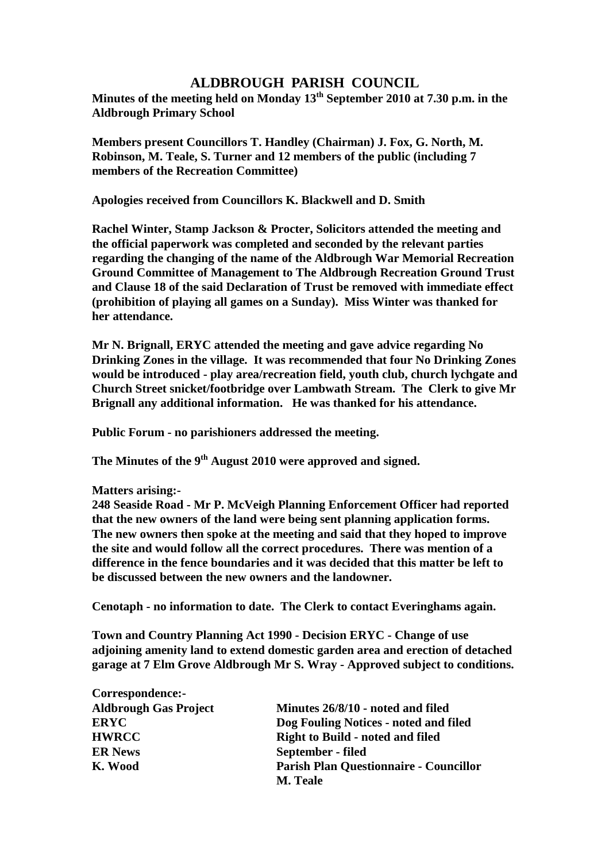## **ALDBROUGH PARISH COUNCIL**

**Minutes of the meeting held on Monday 13th September 2010 at 7.30 p.m. in the Aldbrough Primary School**

**Members present Councillors T. Handley (Chairman) J. Fox, G. North, M. Robinson, M. Teale, S. Turner and 12 members of the public (including 7 members of the Recreation Committee)**

**Apologies received from Councillors K. Blackwell and D. Smith**

**Rachel Winter, Stamp Jackson & Procter, Solicitors attended the meeting and the official paperwork was completed and seconded by the relevant parties regarding the changing of the name of the Aldbrough War Memorial Recreation Ground Committee of Management to The Aldbrough Recreation Ground Trust and Clause 18 of the said Declaration of Trust be removed with immediate effect (prohibition of playing all games on a Sunday). Miss Winter was thanked for her attendance.**

**Mr N. Brignall, ERYC attended the meeting and gave advice regarding No Drinking Zones in the village. It was recommended that four No Drinking Zones would be introduced - play area/recreation field, youth club, church lychgate and Church Street snicket/footbridge over Lambwath Stream. The Clerk to give Mr Brignall any additional information. He was thanked for his attendance.**

**Public Forum - no parishioners addressed the meeting.**

**The Minutes of the 9th August 2010 were approved and signed.**

**Matters arising:-**

**Correspondence:-**

**248 Seaside Road - Mr P. McVeigh Planning Enforcement Officer had reported that the new owners of the land were being sent planning application forms. The new owners then spoke at the meeting and said that they hoped to improve the site and would follow all the correct procedures. There was mention of a difference in the fence boundaries and it was decided that this matter be left to be discussed between the new owners and the landowner.**

**Cenotaph - no information to date. The Clerk to contact Everinghams again.**

**Town and Country Planning Act 1990 - Decision ERYC - Change of use adjoining amenity land to extend domestic garden area and erection of detached garage at 7 Elm Grove Aldbrough Mr S. Wray - Approved subject to conditions.**

| COLLESPONDENCE:-             |                                               |
|------------------------------|-----------------------------------------------|
| <b>Aldbrough Gas Project</b> | Minutes 26/8/10 - noted and filed             |
| <b>ERYC</b>                  | Dog Fouling Notices - noted and filed         |
| <b>HWRCC</b>                 | <b>Right to Build - noted and filed</b>       |
| <b>ER News</b>               | September - filed                             |
| K. Wood                      | <b>Parish Plan Questionnaire - Councillor</b> |
|                              | <b>M. Teale</b>                               |